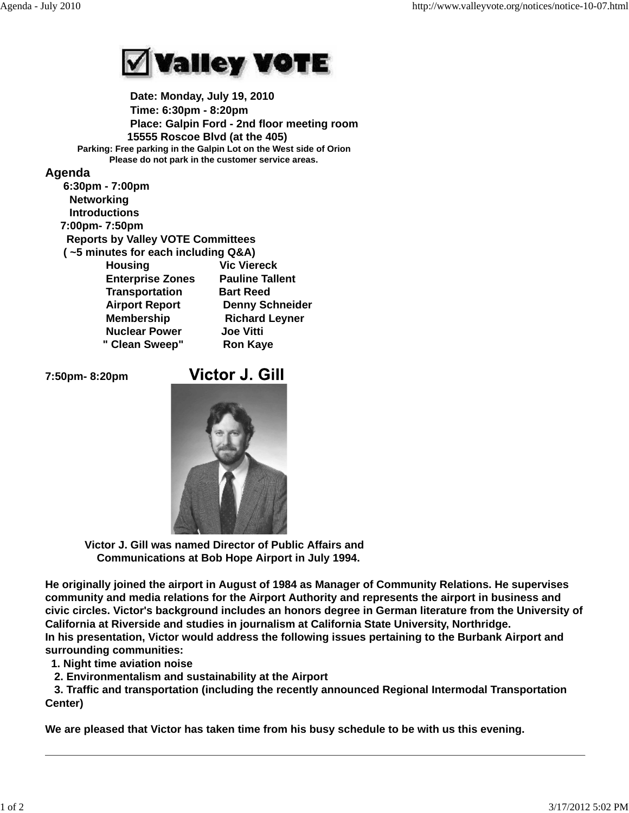

 **Date: Monday, July 19, 2010 Time: 6:30pm - 8:20pm Place: Galpin Ford - 2nd floor meeting room 15555 Roscoe Blvd (at the 405) Parking: Free parking in the Galpin Lot on the West side of Orion Please do not park in the customer service areas.**

#### **Agenda**

| 6:30pm - 7:00pm                          |                        |
|------------------------------------------|------------------------|
| <b>Networking</b>                        |                        |
| <b>Introductions</b>                     |                        |
| 7:00pm-7:50pm                            |                        |
| <b>Reports by Valley VOTE Committees</b> |                        |
| (~5 minutes for each including Q&A)      |                        |
| <b>Housing</b>                           | <b>Vic Viereck</b>     |
| <b>Enterprise Zones</b>                  | <b>Pauline Tallent</b> |
| <b>Transportation</b>                    | <b>Bart Reed</b>       |
| <b>Airport Report</b>                    | <b>Denny Schneider</b> |
| <b>Membership</b>                        | <b>Richard Leyner</b>  |
| <b>Nuclear Power</b>                     | <b>Joe Vitti</b>       |
| " Clean Sweep"                           | <b>Ron Kaye</b>        |
|                                          |                        |

**7:50pm- 8:20pm** 

# **Victor J. Gill**



 **Victor J. Gill was named Director of Public Affairs and Communications at Bob Hope Airport in July 1994.**

**He originally joined the airport in August of 1984 as Manager of Community Relations. He supervises community and media relations for the Airport Authority and represents the airport in business and civic circles. Victor's background includes an honors degree in German literature from the University of California at Riverside and studies in journalism at California State University, Northridge. In his presentation, Victor would address the following issues pertaining to the Burbank Airport and surrounding communities:**

 **1. Night time aviation noise**

 **2. Environmentalism and sustainability at the Airport**

 **3. Traffic and transportation (including the recently announced Regional Intermodal Transportation Center)**

**We are pleased that Victor has taken time from his busy schedule to be with us this evening.**